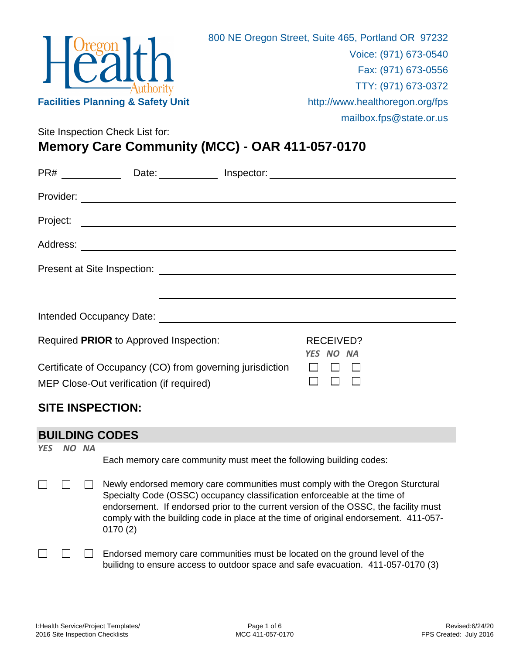

Site Inspection Check List for:

# **Memory Care Community (MCC) - OAR 411-057-0170**

| PR#       | Date:                                                                                                                |  |                               |  |  |
|-----------|----------------------------------------------------------------------------------------------------------------------|--|-------------------------------|--|--|
| Provider: |                                                                                                                      |  |                               |  |  |
| Project:  | <u> 1989 - Johann John Stone, markin sanadi a shekara 1989 - An an tsarar 1989 - An an tsarar 1989 - An an tsara</u> |  |                               |  |  |
| Address:  | <u> 1989 - Andrea State Barbara, amerikan personal di sebagai personal di sebagai personal di sebagai personal d</u> |  |                               |  |  |
|           |                                                                                                                      |  |                               |  |  |
|           |                                                                                                                      |  |                               |  |  |
|           |                                                                                                                      |  |                               |  |  |
|           | Required PRIOR to Approved Inspection:                                                                               |  | <b>RECEIVED?</b><br>YES NO NA |  |  |
|           | Certificate of Occupancy (CO) from governing jurisdiction<br>MEP Close-Out verification (if required)                |  |                               |  |  |

### **SITE INSPECTION:**

#### **BUILDING CODES**

*YES NO NA*

Each memory care community must meet the following building codes:

- Newly endorsed memory care communities must comply with the Oregon Sturctural П  $\Box$ Specialty Code (OSSC) occupancy classification enforceable at the time of endorsement. If endorsed prior to the current version of the OSSC, the facility must comply with the building code in place at the time of original endorsement. 411-057- 0170 (2)
	- Endorsed memory care communities must be located on the ground level of the  $\vert \ \ \vert$ builidng to ensure access to outdoor space and safe evacuation. 411-057-0170 (3)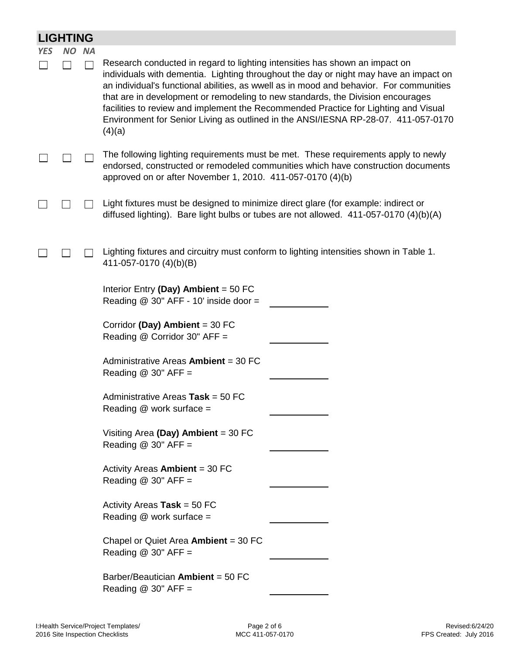|            | <b>LIGHTING</b> |           |                                                                                                                                                                                                                                                                                                                                                                                                                                                                                                                                           |  |  |
|------------|-----------------|-----------|-------------------------------------------------------------------------------------------------------------------------------------------------------------------------------------------------------------------------------------------------------------------------------------------------------------------------------------------------------------------------------------------------------------------------------------------------------------------------------------------------------------------------------------------|--|--|
| <b>YES</b> | NO.             | <b>NA</b> |                                                                                                                                                                                                                                                                                                                                                                                                                                                                                                                                           |  |  |
|            |                 |           | Research conducted in regard to lighting intensities has shown an impact on<br>individuals with dementia. Lighting throughout the day or night may have an impact on<br>an individual's functional abilities, as wwell as in mood and behavior. For communities<br>that are in development or remodeling to new standards, the Division encourages<br>facilities to review and implement the Recommended Practice for Lighting and Visual<br>Environment for Senior Living as outlined in the ANSI/IESNA RP-28-07. 411-057-0170<br>(4)(a) |  |  |
|            |                 |           | The following lighting requirements must be met. These requirements apply to newly<br>endorsed, constructed or remodeled communities which have construction documents<br>approved on or after November 1, 2010. 411-057-0170 (4)(b)                                                                                                                                                                                                                                                                                                      |  |  |
|            |                 |           | Light fixtures must be designed to minimize direct glare (for example: indirect or<br>diffused lighting). Bare light bulbs or tubes are not allowed. 411-057-0170 (4)(b)(A)                                                                                                                                                                                                                                                                                                                                                               |  |  |
|            |                 |           | Lighting fixtures and circuitry must conform to lighting intensities shown in Table 1.<br>411-057-0170 (4)(b)(B)                                                                                                                                                                                                                                                                                                                                                                                                                          |  |  |
|            |                 |           | Interior Entry (Day) Ambient = $50$ FC<br>Reading $@$ 30" AFF - 10' inside door =                                                                                                                                                                                                                                                                                                                                                                                                                                                         |  |  |
|            |                 |           | Corridor (Day) Ambient = $30$ FC<br>Reading @ Corridor 30" AFF =                                                                                                                                                                                                                                                                                                                                                                                                                                                                          |  |  |
|            |                 |           | Administrative Areas Ambient = 30 FC<br>Reading $@$ 30" AFF =                                                                                                                                                                                                                                                                                                                                                                                                                                                                             |  |  |
|            |                 |           | Administrative Areas Task = 50 FC<br>Reading $@$ work surface =                                                                                                                                                                                                                                                                                                                                                                                                                                                                           |  |  |
|            |                 |           | Visiting Area (Day) Ambient = $30$ FC<br>Reading $@30"$ AFF =                                                                                                                                                                                                                                                                                                                                                                                                                                                                             |  |  |
|            |                 |           | Activity Areas <b>Ambient</b> = 30 FC<br>Reading $@$ 30" AFF =                                                                                                                                                                                                                                                                                                                                                                                                                                                                            |  |  |
|            |                 |           | Activity Areas Task = $50$ FC<br>Reading $@$ work surface =                                                                                                                                                                                                                                                                                                                                                                                                                                                                               |  |  |
|            |                 |           | Chapel or Quiet Area Ambient = $30$ FC<br>Reading $@$ 30" AFF =                                                                                                                                                                                                                                                                                                                                                                                                                                                                           |  |  |
|            |                 |           | Barber/Beautician Ambient = 50 FC<br>Reading $@30"$ AFF =                                                                                                                                                                                                                                                                                                                                                                                                                                                                                 |  |  |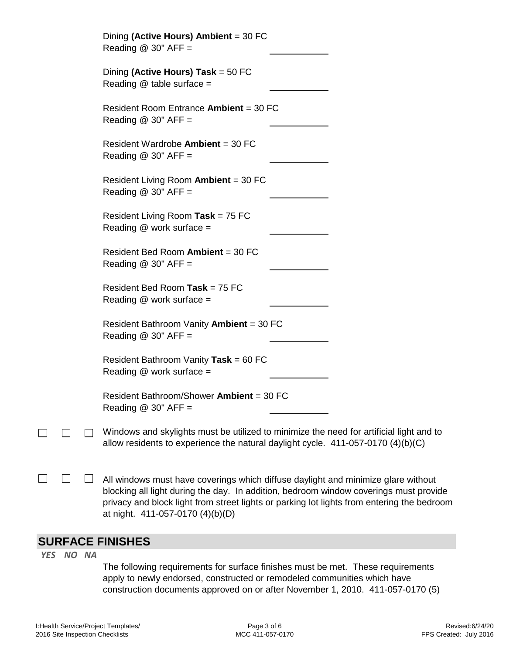| Dining (Active Hours) Ambient = 30 FC<br>Reading $@$ 30" AFF =                   |                                                                                         |
|----------------------------------------------------------------------------------|-----------------------------------------------------------------------------------------|
| Dining (Active Hours) Task = $50$ FC<br>Reading $@$ table surface =              |                                                                                         |
| Resident Room Entrance Ambient = 30 FC<br>Reading $@$ 30" AFF =                  |                                                                                         |
| Resident Wardrobe Ambient = 30 FC<br>Reading $@$ 30" AFF =                       |                                                                                         |
| Resident Living Room Ambient = 30 FC<br>Reading $@$ 30" AFF =                    |                                                                                         |
| Resident Living Room Task = $75$ FC<br>Reading @ work surface =                  |                                                                                         |
| Resident Bed Room Ambient = 30 FC<br>Reading $@$ 30" AFF =                       |                                                                                         |
| Resident Bed Room Task = 75 FC<br>Reading $@$ work surface =                     |                                                                                         |
| Resident Bathroom Vanity Ambient = 30 FC<br>Reading $@$ 30" AFF =                |                                                                                         |
| Resident Bathroom Vanity Task = 60 FC<br>Reading $@$ work surface =              |                                                                                         |
| Resident Bathroom/Shower Ambient = 30 FC<br>Reading $@$ 30" AFF =                |                                                                                         |
| allow residents to experience the natural daylight cycle. 411-057-0170 (4)(b)(C) | Windows and skylights must be utilized to minimize the need for artificial light and to |
|                                                                                  |                                                                                         |

 $\Box$  $\Box$ All windows must have coverings which diffuse daylight and minimize glare without blocking all light during the day. In addition, bedroom window coverings must provide privacy and block light from street lights or parking lot lights from entering the bedroom at night. 411-057-0170 (4)(b)(D)

#### **SURFACE FINISHES**

*YES NO NA*

 $\Box$ 

The following requirements for surface finishes must be met. These requirements apply to newly endorsed, constructed or remodeled communities which have construction documents approved on or after November 1, 2010. 411-057-0170 (5)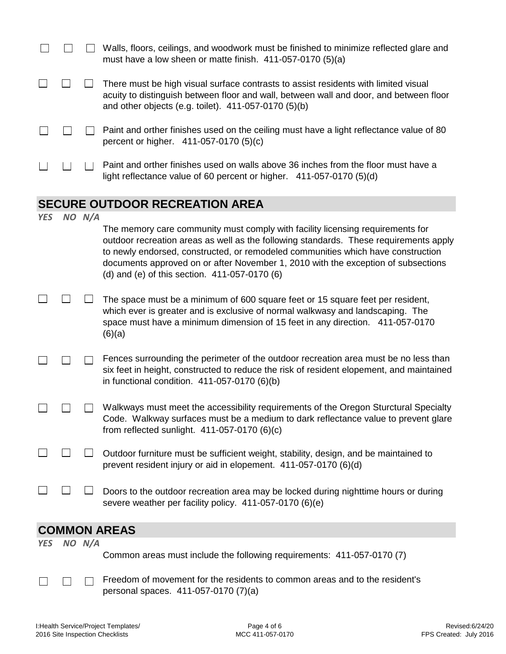|            |        | Walls, floors, ceilings, and woodwork must be finished to minimize reflected glare and<br>must have a low sheen or matte finish. $411-057-0170(5)(a)$                                                                                                                                                                                                                                             |
|------------|--------|---------------------------------------------------------------------------------------------------------------------------------------------------------------------------------------------------------------------------------------------------------------------------------------------------------------------------------------------------------------------------------------------------|
|            |        | There must be high visual surface contrasts to assist residents with limited visual<br>acuity to distinguish between floor and wall, between wall and door, and between floor<br>and other objects (e.g. toilet). 411-057-0170 (5)(b)                                                                                                                                                             |
|            |        | Paint and orther finishes used on the ceiling must have a light reflectance value of 80<br>percent or higher. 411-057-0170 (5)(c)                                                                                                                                                                                                                                                                 |
|            |        | Paint and orther finishes used on walls above 36 inches from the floor must have a<br>light reflectance value of 60 percent or higher. 411-057-0170 (5)(d)                                                                                                                                                                                                                                        |
|            |        | <b>SECURE OUTDOOR RECREATION AREA</b>                                                                                                                                                                                                                                                                                                                                                             |
| <b>YES</b> | NO N/A |                                                                                                                                                                                                                                                                                                                                                                                                   |
|            |        | The memory care community must comply with facility licensing requirements for<br>outdoor recreation areas as well as the following standards. These requirements apply<br>to newly endorsed, constructed, or remodeled communities which have construction<br>documents approved on or after November 1, 2010 with the exception of subsections<br>(d) and (e) of this section. 411-057-0170 (6) |
|            |        | The space must be a minimum of 600 square feet or 15 square feet per resident,<br>which ever is greater and is exclusive of normal walkwasy and landscaping. The<br>space must have a minimum dimension of 15 feet in any direction. 411-057-0170<br>(6)(a)                                                                                                                                       |
|            |        | Fences surrounding the perimeter of the outdoor recreation area must be no less than<br>six feet in height, constructed to reduce the risk of resident elopement, and maintained<br>in functional condition. $411-057-0170$ (6)(b)                                                                                                                                                                |
|            |        | Walkways must meet the accessibility requirements of the Oregon Sturctural Specialty<br>Code. Walkway surfaces must be a medium to dark reflectance value to prevent glare<br>from reflected sunlight. $411-057-0170$ (6)(c)                                                                                                                                                                      |
|            |        | Outdoor furniture must be sufficient weight, stability, design, and be maintained to<br>prevent resident injury or aid in elopement. 411-057-0170 (6)(d)                                                                                                                                                                                                                                          |
|            |        | Doors to the outdoor recreation area may be locked during nighttime hours or during<br>severe weather per facility policy. 411-057-0170 (6)(e)                                                                                                                                                                                                                                                    |
|            |        | <b>COMMON AREAS</b>                                                                                                                                                                                                                                                                                                                                                                               |
| <b>YES</b> | NO N/A |                                                                                                                                                                                                                                                                                                                                                                                                   |
|            |        | Common areas must include the following requirements: 411-057-0170 (7)                                                                                                                                                                                                                                                                                                                            |
|            |        | Freedom of movement for the residents to common areas and to the resident's<br>personal spaces. 411-057-0170 (7)(a)                                                                                                                                                                                                                                                                               |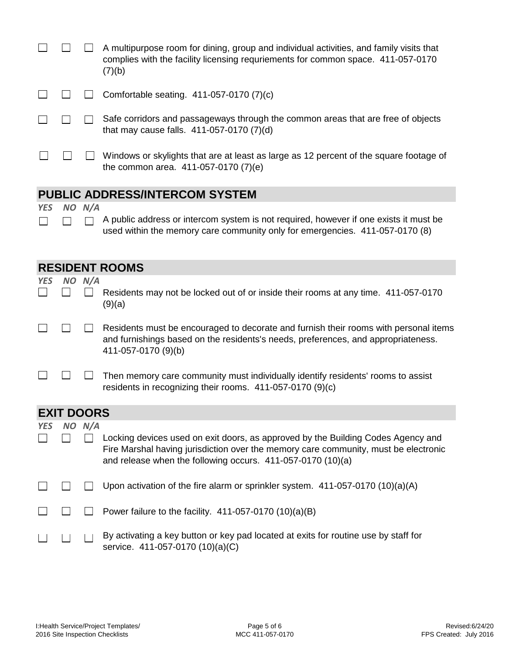|  | A multipurpose room for dining, group and individual activities, and family visits that<br>complies with the facility licensing requriements for common space. 411-057-0170<br>(7)(b) |
|--|---------------------------------------------------------------------------------------------------------------------------------------------------------------------------------------|
|  | Comfortable seating. 411-057-0170 (7)(c)                                                                                                                                              |
|  | Safe corridors and passageways through the common areas that are free of objects<br>that may cause falls. $411-057-0170$ (7)(d)                                                       |
|  | Windows or skylights that are at least as large as 12 percent of the square footage of<br>the common area. $411-057-0170(7)(e)$                                                       |
|  |                                                                                                                                                                                       |

## **PUBLIC ADDRESS/INTERCOM SYSTEM**

*YES NO N/A*

 $\Box$ 

 $\Box$  A public address or intercom system is not required, however if one exists it must be  $\Box$ used within the memory care community only for emergencies. 411-057-0170 (8)

|            |                   |        | <b>RESIDENT ROOMS</b>                                                                                                                                                                                                                  |
|------------|-------------------|--------|----------------------------------------------------------------------------------------------------------------------------------------------------------------------------------------------------------------------------------------|
| <b>YES</b> |                   | NO N/A | Residents may not be locked out of or inside their rooms at any time. 411-057-0170<br>(9)(a)                                                                                                                                           |
|            |                   |        | Residents must be encouraged to decorate and furnish their rooms with personal items<br>and furnishings based on the residents's needs, preferences, and appropriateness.<br>411-057-0170 (9)(b)                                       |
|            |                   |        | Then memory care community must individually identify residents' rooms to assist<br>residents in recognizing their rooms. 411-057-0170 (9)(c)                                                                                          |
|            | <b>EXIT DOORS</b> |        |                                                                                                                                                                                                                                        |
| <b>YES</b> | NO.               | N/A    | Locking devices used on exit doors, as approved by the Building Codes Agency and<br>Fire Marshal having jurisdiction over the memory care community, must be electronic<br>and release when the following occurs. 411-057-0170 (10)(a) |
|            |                   |        | Upon activation of the fire alarm or sprinkler system. $411-057-0170(10)(a)(A)$                                                                                                                                                        |
|            |                   |        | Power failure to the facility. $411-057-0170(10)(a)(B)$                                                                                                                                                                                |
|            |                   |        | By activating a key button or key pad located at exits for routine use by staff for<br>service. 411-057-0170 (10)(a)(C)                                                                                                                |